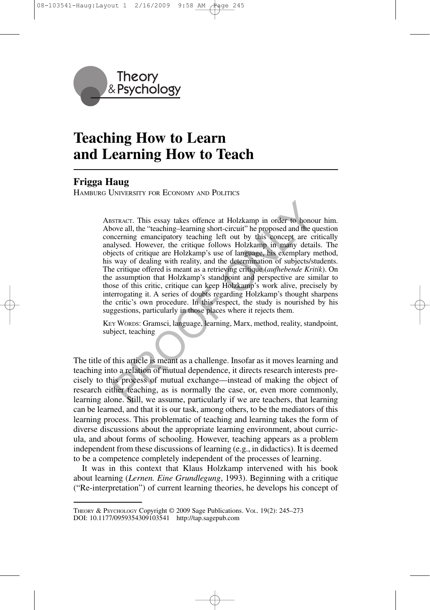08-103541-Haug:Layout 1 2/16/2009 9:58 AM Page 245



# **Teaching How to Learn and Learning How to Teach**

# **Frigga Haug**

HAMBURG UNIVERSITY FOR ECONOMY AND POLITICS

STRACT. This essay takes offence at Holzkamp in order to honour<br>ove all, the "teaching-learning short-circuit" he proposed and the que<br>ccerning emancipatory teaching left out by this concept, are critic<br>ulyed. However, the ABSTRACT. This essay takes offence at Holzkamp in order to honour him. Above all, the "teaching–learning short-circuit" he proposed and the question concerning emancipatory teaching left out by this concept are critically analysed. However, the critique follows Holzkamp in many details. The objects of critique are Holzkamp's use of language, his exemplary method, his way of dealing with reality, and the determination of subjects/students. The critique offered is meant as a retrieving critique (*aufhebende Kritik*). On the assumption that Holzkamp's standpoint and perspective are similar to those of this critic, critique can keep Holzkamp's work alive, precisely by interrogating it. A series of doubts regarding Holzkamp's thought sharpens the critic's own procedure. In this respect, the study is nourished by his suggestions, particularly in those places where it rejects them.

KEY WORDS: Gramsci, language, learning, Marx, method, reality, standpoint, subject, teaching

The title of this article is meant as a challenge. Insofar as it moves learning and teaching into a relation of mutual dependence, it directs research interests precisely to this process of mutual exchange—instead of making the object of research either teaching, as is normally the case, or, even more commonly, learning alone. Still, we assume, particularly if we are teachers, that learning can be learned, and that it is our task, among others, to be the mediators of this learning process. This problematic of teaching and learning takes the form of diverse discussions about the appropriate learning environment, about curricula, and about forms of schooling. However, teaching appears as a problem independent from these discussions of learning (e.g., in didactics). It is deemed to be a competence completely independent of the processes of learning.

It was in this context that Klaus Holzkamp intervened with his book about learning (*Lernen. Eine Grundlegung*, 1993). Beginning with a critique ("Re-interpretation") of current learning theories, he develops his concept of

THEORY & PSYCHOLOGY Copyright © 2009 Sage Publications. VOL. 19(2): 245–273 DOI: 10.1177/0959354309103541 http://tap.sagepub.com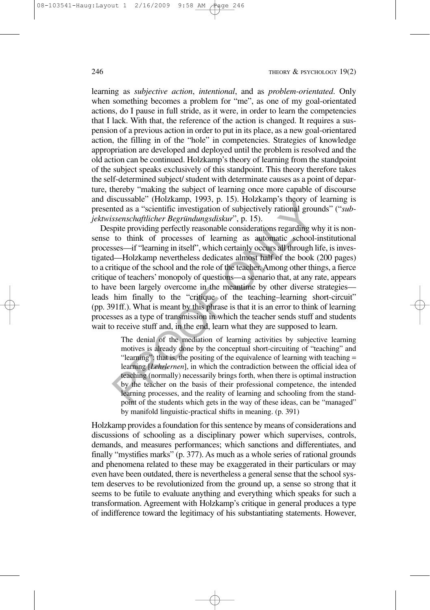learning as *subjective action*, *intentional*, and as *problem-orientated*. Only when something becomes a problem for "me", as one of my goal-orientated actions, do I pause in full stride, as it were, in order to learn the competencies that I lack. With that, the reference of the action is changed. It requires a suspension of a previous action in order to put in its place, as a new goal-orientared action, the filling in of the "hole" in competencies. Strategies of knowledge appropriation are developed and deployed until the problem is resolved and the old action can be continued. Holzkamp's theory of learning from the standpoint of the subject speaks exclusively of this standpoint. This theory therefore takes the self-determined subject/ student with determinate causes as a point of departure, thereby "making the subject of learning once more capable of discourse and discussable" (Holzkamp, 1993, p. 15). Holzkamp's theory of learning is presented as a "scientific investigation of subjectively rational grounds" ("*subjektwissenschaftlicher Begründungsdiskur*", p. 15).

Season (virtually, 1775, p. 15). To Example 1 and school and satisfied as a "scientific investigation of subjectively rational ground sense that of the school-in sense that of processes of learning as automatic school-in Despite providing perfectly reasonable considerations regarding why it is nonsense to think of processes of learning as automatic school-institutional processes—if "learning in itself", which certainly occurs all through life, is investigated—Holzkamp nevertheless dedicates almost half of the book (200 pages) to a critique of the school and the role of the teacher. Among other things, a fierce critique of teachers' monopoly of questions—a scenario that, at any rate, appears to have been largely overcome in the meantime by other diverse strategies leads him finally to the "critique of the teaching–learning short-circuit" (pp. 391ff.). What is meant by this phrase is that it is an error to think of learning processes as a type of transmission in which the teacher sends stuff and students wait to receive stuff and, in the end, learn what they are supposed to learn.

The denial of the mediation of learning activities by subjective learning motives is already done by the conceptual short-circuiting of "teaching" and "learning": that is, the positing of the equivalence of learning with teaching = learning [*Lehrlernen*], in which the contradiction between the official idea of teaching (normally) necessarily brings forth, when there is optimal instruction by the teacher on the basis of their professional competence, the intended learning processes, and the reality of learning and schooling from the standpoint of the students which gets in the way of these ideas, can be "managed" by manifold linguistic-practical shifts in meaning. (p. 391)

Holzkamp provides a foundation for this sentence by means of considerations and discussions of schooling as a disciplinary power which supervises, controls, demands, and measures performances; which sanctions and differentiates, and finally "mystifies marks" (p. 377). As much as a whole series of rational grounds and phenomena related to these may be exaggerated in their particulars or may even have been outdated, there is nevertheless a general sense that the school system deserves to be revolutionized from the ground up, a sense so strong that it seems to be futile to evaluate anything and everything which speaks for such a transformation. Agreement with Holzkamp's critique in general produces a type of indifference toward the legitimacy of his substantiating statements. However,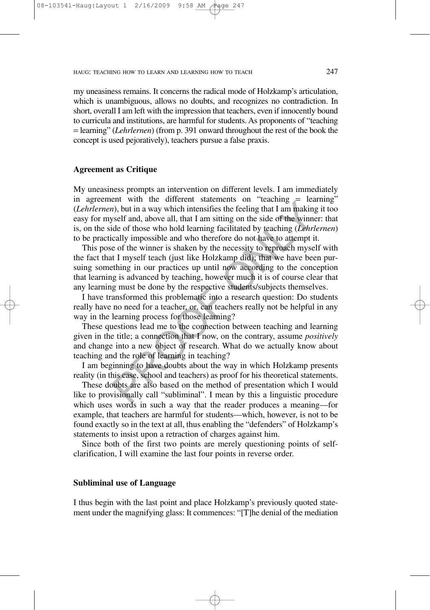my uneasiness remains. It concerns the radical mode of Holzkamp's articulation, which is unambiguous, allows no doubts, and recognizes no contradiction. In short, overall I am left with the impression that teachers, even if innocently bound to curricula and institutions, are harmful for students. As proponents of "teaching = learning" (*Lehrlernen*) (from p. 391 onward throughout the rest of the book the concept is used pejoratively), teachers pursue a false praxis.

### **Agreement as Critique**

08-103541-Haug: Layout

My uneasiness prompts an intervention on different levels. I am immediately in agreement with the different statements on "teaching = learning" (*Lehrlernen*), but in a way which intensifies the feeling that I am making it too easy for myself and, above all, that I am sitting on the side of the winner: that is, on the side of those who hold learning facilitated by teaching (*Lehrlernen*) to be practically impossible and who therefore do not have to attempt it.

Entre with the uncertainter statements on the uncertainty  $\sim$  texting that I am away which intensifies the feeling that I am making is self and, above all, that I am sitting on the side of the winner: ide of the winner i This pose of the winner is shaken by the necessity to reproach myself with the fact that I myself teach (just like Holzkamp did); that we have been pursuing something in our practices up until now according to the conception that learning is advanced by teaching, however much it is of course clear that any learning must be done by the respective students/subjects themselves.

I have transformed this problematic into a research question: Do students really have no need for a teacher, or, can teachers really not be helpful in any way in the learning process for those learning?

These questions lead me to the connection between teaching and learning given in the title; a connection that I now, on the contrary, assume *positively* and change into a new object of research. What do we actually know about teaching and the role of learning in teaching?

I am beginning to have doubts about the way in which Holzkamp presents reality (in this case, school and teachers) as proof for his theoretical statements.

These doubts are also based on the method of presentation which I would like to provisionally call "subliminal". I mean by this a linguistic procedure which uses words in such a way that the reader produces a meaning—for example, that teachers are harmful for students—which, however, is not to be found exactly so in the text at all, thus enabling the "defenders" of Holzkamp's statements to insist upon a retraction of charges against him.

Since both of the first two points are merely questioning points of selfclarification, I will examine the last four points in reverse order.

# **Subliminal use of Language**

I thus begin with the last point and place Holzkamp's previously quoted statement under the magnifying glass: It commences: "[T]he denial of the mediation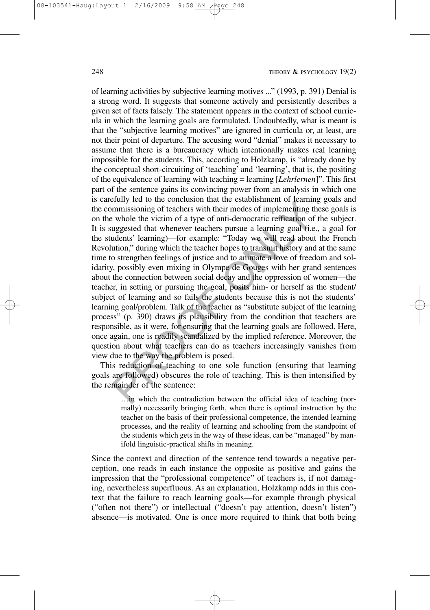Frame that the calculation and the calculation of Accuration<br>mumissioning of teachers with their modes of implementing the<br>exhibition of thuggested that whenever teachers pursue a learning goal (i.e.,<br>udents' learning)—fo of learning activities by subjective learning motives ..." (1993, p. 391) Denial is a strong word. It suggests that someone actively and persistently describes a given set of facts falsely. The statement appears in the context of school curricula in which the learning goals are formulated. Undoubtedly, what is meant is that the "subjective learning motives" are ignored in curricula or, at least, are not their point of departure. The accusing word "denial" makes it necessary to assume that there is a bureaucracy which intentionally makes real learning impossible for the students. This, according to Holzkamp, is "already done by the conceptual short-circuiting of 'teaching' and 'learning', that is, the positing of the equivalence of learning with teaching = learning [*Lehrlernen*]". This first part of the sentence gains its convincing power from an analysis in which one is carefully led to the conclusion that the establishment of learning goals and the commissioning of teachers with their modes of implementing these goals is on the whole the victim of a type of anti-democratic reification of the subject. It is suggested that whenever teachers pursue a learning goal (i.e., a goal for the students' learning)—for example: "Today we will read about the French Revolution," during which the teacher hopes to transmit history and at the same time to strengthen feelings of justice and to animate a love of freedom and solidarity, possibly even mixing in Olympe de Gouges with her grand sentences about the connection between social decay and the oppression of women—the teacher, in setting or pursuing the goal, posits him- or herself as the student/ subject of learning and so fails the students because this is not the students' learning goal/problem. Talk of the teacher as "substitute subject of the learning process" (p. 390) draws its plausibility from the condition that teachers are responsible, as it were, for ensuring that the learning goals are followed. Here, once again, one is readily scandalized by the implied reference. Moreover, the question about what teachers can do as teachers increasingly vanishes from view due to the way the problem is posed.

This reduction of teaching to one sole function (ensuring that learning goals are followed) obscures the role of teaching. This is then intensified by the remainder of the sentence:

> …in which the contradiction between the official idea of teaching (normally) necessarily bringing forth, when there is optimal instruction by the teacher on the basis of their professional competence, the intended learning processes, and the reality of learning and schooling from the standpoint of the students which gets in the way of these ideas, can be "managed" by manifold linguistic-practical shifts in meaning.

Since the context and direction of the sentence tend towards a negative perception, one reads in each instance the opposite as positive and gains the impression that the "professional competence" of teachers is, if not damaging, nevertheless superfluous. As an explanation, Holzkamp adds in this context that the failure to reach learning goals—for example through physical ("often not there") or intellectual ("doesn't pay attention, doesn't listen") absence—is motivated. One is once more required to think that both being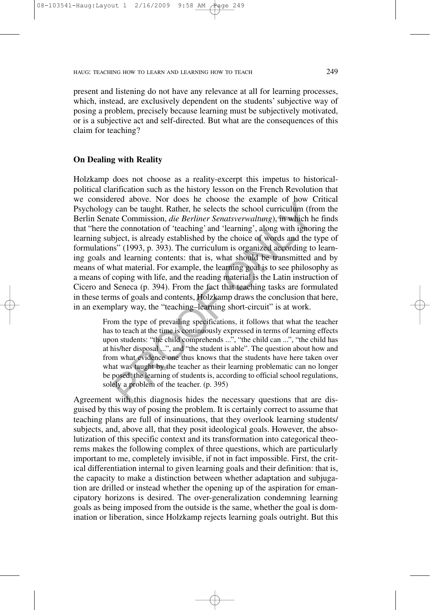present and listening do not have any relevance at all for learning processes, which, instead, are exclusively dependent on the students' subjective way of posing a problem, precisely because learning must be subjectively motivated, or is a subjective act and self-directed. But what are the consequences of this claim for teaching?

# **On Dealing with Reality**

Frequence of the section of the section of the transmit of the transmitted above. The cannotation die *Berliner Senatsverwaltung*), in which he the connotation of 'teaching' and 'learning', along with ignoring bject, is a Holzkamp does not choose as a reality-excerpt this impetus to historicalpolitical clarification such as the history lesson on the French Revolution that we considered above. Nor does he choose the example of how Critical Psychology can be taught. Rather, he selects the school curriculum (from the Berlin Senate Commission, *die Berliner Senatsverwaltung*), in which he finds that "here the connotation of 'teaching' and 'learning', along with ignoring the learning subject, is already established by the choice of words and the type of formulations" (1993, p. 393). The curriculum is organized according to learning goals and learning contents: that is, what should be transmitted and by means of what material. For example, the learning goal is to see philosophy as a means of coping with life, and the reading material is the Latin instruction of Cicero and Seneca (p. 394). From the fact that teaching tasks are formulated in these terms of goals and contents, Holzkamp draws the conclusion that here, in an exemplary way, the "teaching–learning short-circuit" is at work.

From the type of prevailing specifications, it follows that what the teacher has to teach at the time is continuously expressed in terms of learning effects upon students: "the child comprehends ...", "the child can ...", "the child has at his/her disposal ...", and "the student is able". The question about how and from what evidence one thus knows that the students have here taken over what was taught by the teacher as their learning problematic can no longer be posed: the learning of students is, according to official school regulations, solely a problem of the teacher. (p. 395)

Agreement with this diagnosis hides the necessary questions that are disguised by this way of posing the problem. It is certainly correct to assume that teaching plans are full of insinuations, that they overlook learning students/ subjects, and, above all, that they posit ideological goals. However, the absolutization of this specific context and its transformation into categorical theorems makes the following complex of three questions, which are particularly important to me, completely invisible, if not in fact impossible. First, the critical differentiation internal to given learning goals and their definition: that is, the capacity to make a distinction between whether adaptation and subjugation are drilled or instead whether the opening up of the aspiration for emancipatory horizons is desired. The over-generalization condemning learning goals as being imposed from the outside is the same, whether the goal is domination or liberation, since Holzkamp rejects learning goals outright. But this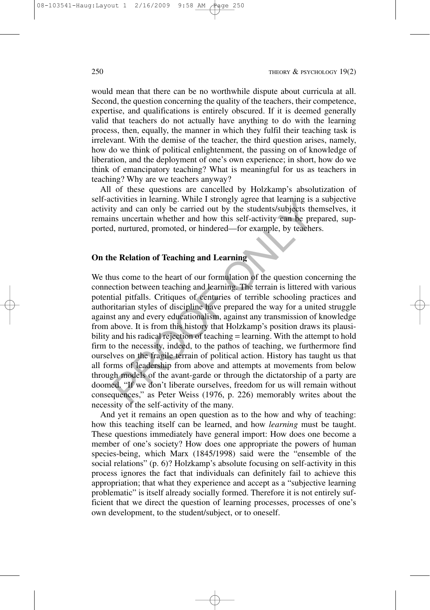would mean that there can be no worthwhile dispute about curricula at all. Second, the question concerning the quality of the teachers, their competence, expertise, and qualifications is entirely obscured. If it is deemed generally valid that teachers do not actually have anything to do with the learning process, then, equally, the manner in which they fulfil their teaching task is irrelevant. With the demise of the teacher, the third question arises, namely, how do we think of political enlightenment, the passing on of knowledge of liberation, and the deployment of one's own experience; in short, how do we think of emancipatory teaching? What is meaningful for us as teachers in teaching? Why are we teachers anyway?

All of these questions are cancelled by Holzkamp's absolutization of self-activities in learning. While I strongly agree that learning is a subjective activity and can only be carried out by the students/subjects themselves, it remains uncertain whether and how this self-activity can be prepared, supported, nurtured, promoted, or hindered—for example, by teachers.

# **On the Relation of Teaching and Learning**

Eventually and carring is a metally applied with studing is a commonly by and can only be carried out by the students/subjects then<br>ins uncertain whether and how this self-activity can be prepaid, nurtured, promoted, or hi We thus come to the heart of our formulation of the question concerning the connection between teaching and learning. The terrain is littered with various potential pitfalls. Critiques of centuries of terrible schooling practices and authoritarian styles of discipline have prepared the way for a united struggle against any and every educationalism, against any transmission of knowledge from above. It is from this history that Holzkamp's position draws its plausibility and his radical rejection of teaching = learning. With the attempt to hold firm to the necessity, indeed, to the pathos of teaching, we furthermore find ourselves on the fragile terrain of political action. History has taught us that all forms of leadership from above and attempts at movements from below through models of the avant-garde or through the dictatorship of a party are doomed. "If we don't liberate ourselves, freedom for us will remain without consequences," as Peter Weiss (1976, p. 226) memorably writes about the necessity of the self-activity of the many.

And yet it remains an open question as to the how and why of teaching: how this teaching itself can be learned, and how *learning* must be taught. These questions immediately have general import: How does one become a member of one's society? How does one appropriate the powers of human species-being, which Marx (1845/1998) said were the "ensemble of the social relations" (p. 6)? Holzkamp's absolute focusing on self-activity in this process ignores the fact that individuals can definitely fail to achieve this appropriation; that what they experience and accept as a "subjective learning problematic" is itself already socially formed. Therefore it is not entirely sufficient that we direct the question of learning processes, processes of one's own development, to the student/subject, or to oneself.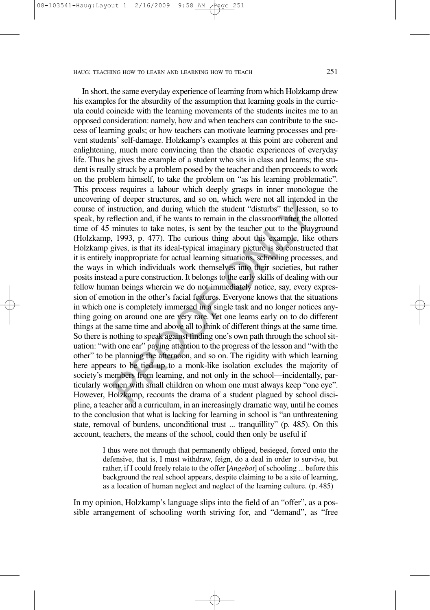08-103541-Haug: Layout

or decept successes, and so or, when were not an incurate in<br>the stutction, and during which the student "disturbs" the lesson, selfection and, if he wants to remain in the classroom after the all<br>minutes to take notes, is In short, the same everyday experience of learning from which Holzkamp drew his examples for the absurdity of the assumption that learning goals in the curricula could coincide with the learning movements of the students incites me to an opposed consideration: namely, how and when teachers can contribute to the success of learning goals; or how teachers can motivate learning processes and prevent students' self-damage. Holzkamp's examples at this point are coherent and enlightening, much more convincing than the chaotic experiences of everyday life. Thus he gives the example of a student who sits in class and learns; the student is really struck by a problem posed by the teacher and then proceeds to work on the problem himself, to take the problem on "as his learning problematic". This process requires a labour which deeply grasps in inner monologue the uncovering of deeper structures, and so on, which were not all intended in the course of instruction, and during which the student "disturbs" the lesson, so to speak, by reflection and, if he wants to remain in the classroom after the allotted time of 45 minutes to take notes, is sent by the teacher out to the playground (Holzkamp, 1993, p. 477). The curious thing about this example, like others Holzkamp gives, is that its ideal-typical imaginary picture is so constructed that it is entirely inappropriate for actual learning situations, schooling processes, and the ways in which individuals work themselves into their societies, but rather posits instead a pure construction. It belongs to the early skills of dealing with our fellow human beings wherein we do not immediately notice, say, every expression of emotion in the other's facial features. Everyone knows that the situations in which one is completely immersed in a single task and no longer notices anything going on around one are very rare. Yet one learns early on to do different things at the same time and above all to think of different things at the same time. So there is nothing to speak against finding one's own path through the school situation: "with one ear" paying attention to the progress of the lesson and "with the other" to be planning the afternoon, and so on. The rigidity with which learning here appears to be tied up to a monk-like isolation excludes the majority of society's members from learning, and not only in the school—incidentally, particularly women with small children on whom one must always keep "one eye". However, Holzkamp, recounts the drama of a student plagued by school discipline, a teacher and a curriculum, in an increasingly dramatic way, until he comes to the conclusion that what is lacking for learning in school is "an unthreatening state, removal of burdens, unconditional trust ... tranquillity" (p. 485). On this account, teachers, the means of the school, could then only be useful if

> I thus were not through that permanently obliged, besieged, forced onto the defensive, that is, I must withdraw, feign, do a deal in order to survive, but rather, if I could freely relate to the offer [*Angebot*] of schooling ... before this background the real school appears, despite claiming to be a site of learning, as a location of human neglect and neglect of the learning culture. (p. 485)

In my opinion, Holzkamp's language slips into the field of an "offer", as a possible arrangement of schooling worth striving for, and "demand", as "free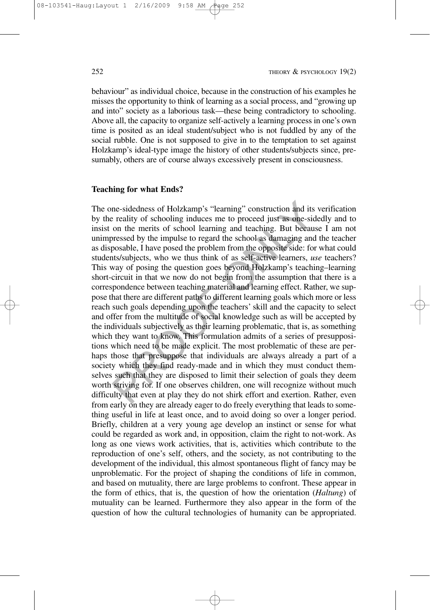behaviour" as individual choice, because in the construction of his examples he misses the opportunity to think of learning as a social process, and "growing up and into" society as a laborious task—these being contradictory to schooling. Above all, the capacity to organize self-actively a learning process in one's own time is posited as an ideal student/subject who is not fuddled by any of the social rubble. One is not supposed to give in to the temptation to set against Holzkamp's ideal-type image the history of other students/subjects since, presumably, others are of course always excessively present in consciousness.

### **Teaching for what Ends?**

ne-sidedness of Holzkamp's "learning" construction and its ve reality of schooling induces me to proceed just as one-sided on the merits of school learning and teaching. But because oressed by the impulse to regard the sch The one-sidedness of Holzkamp's "learning" construction and its verification by the reality of schooling induces me to proceed just as one-sidedly and to insist on the merits of school learning and teaching. But because I am not unimpressed by the impulse to regard the school as damaging and the teacher as disposable, I have posed the problem from the opposite side: for what could students/subjects, who we thus think of as self-active learners, *use* teachers? This way of posing the question goes beyond Holzkamp's teaching–learning short-circuit in that we now do not begin from the assumption that there is a correspondence between teaching material and learning effect. Rather, we suppose that there are different paths to different learning goals which more or less reach such goals depending upon the teachers' skill and the capacity to select and offer from the multitude of social knowledge such as will be accepted by the individuals subjectively as their learning problematic, that is, as something which they want to know. This formulation admits of a series of presuppositions which need to be made explicit. The most problematic of these are perhaps those that presuppose that individuals are always already a part of a society which they find ready-made and in which they must conduct themselves such that they are disposed to limit their selection of goals they deem worth striving for. If one observes children, one will recognize without much difficulty that even at play they do not shirk effort and exertion. Rather, even from early on they are already eager to do freely everything that leads to something useful in life at least once, and to avoid doing so over a longer period. Briefly, children at a very young age develop an instinct or sense for what could be regarded as work and, in opposition, claim the right to not-work. As long as one views work activities, that is, activities which contribute to the reproduction of one's self, others, and the society, as not contributing to the development of the individual, this almost spontaneous flight of fancy may be unproblematic. For the project of shaping the conditions of life in common, and based on mutuality, there are large problems to confront. These appear in the form of ethics, that is, the question of how the orientation (*Haltung*) of mutuality can be learned. Furthermore they also appear in the form of the question of how the cultural technologies of humanity can be appropriated.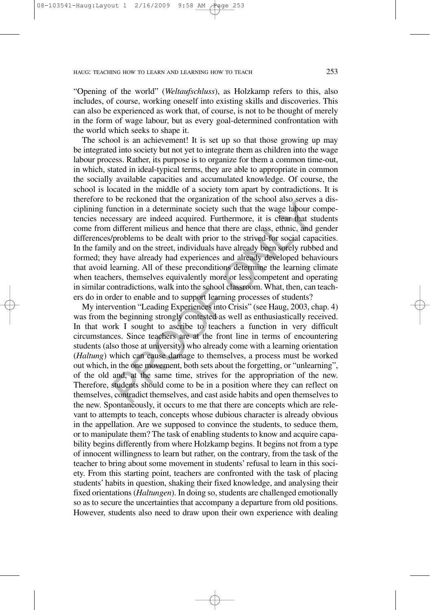"Opening of the world" (*Weltaufschluss*), as Holzkamp refers to this, also includes, of course, working oneself into existing skills and discoveries. This can also be experienced as work that, of course, is not to be thought of merely in the form of wage labour, but as every goal-determined confrontation with the world which seeks to shape it.

becomed that are organization of an estoor also serves a<br>inction in a determinate society such that the wage labour con-<br>essary are indeed acquired. Furthermore, it is clear that stud<br>different milieus and hence that there The school is an achievement! It is set up so that those growing up may be integrated into society but not yet to integrate them as children into the wage labour process. Rather, its purpose is to organize for them a common time-out, in which, stated in ideal-typical terms, they are able to appropriate in common the socially available capacities and accumulated knowledge. Of course, the school is located in the middle of a society torn apart by contradictions. It is therefore to be reckoned that the organization of the school also serves a disciplining function in a determinate society such that the wage labour competencies necessary are indeed acquired. Furthermore, it is clear that students come from different milieus and hence that there are class, ethnic, and gender differences/problems to be dealt with prior to the strived-for social capacities. In the family and on the street, individuals have already been sorely rubbed and formed; they have already had experiences and already developed behaviours that avoid learning. All of these preconditions determine the learning climate when teachers, themselves equivalently more or less competent and operating in similar contradictions, walk into the school classroom. What, then, can teachers do in order to enable and to support learning processes of students?

My intervention "Leading Experiences into Crisis" (see Haug, 2003, chap. 4) was from the beginning strongly contested as well as enthusiastically received. In that work I sought to ascribe to teachers a function in very difficult circumstances. Since teachers are at the front line in terms of encountering students (also those at university) who already come with a learning orientation (*Haltung*) which can cause damage to themselves, a process must be worked out which, in the one movement, both sets about the forgetting, or "unlearning", of the old and, at the same time, strives for the appropriation of the new. Therefore, students should come to be in a position where they can reflect on themselves, contradict themselves, and cast aside habits and open themselves to the new. Spontaneously, it occurs to me that there are concepts which are relevant to attempts to teach, concepts whose dubious character is already obvious in the appellation. Are we supposed to convince the students, to seduce them, or to manipulate them? The task of enabling students to know and acquire capability begins differently from where Holzkamp begins. It begins not from a type of innocent willingness to learn but rather, on the contrary, from the task of the teacher to bring about some movement in students' refusal to learn in this society. From this starting point, teachers are confronted with the task of placing students' habits in question, shaking their fixed knowledge, and analysing their fixed orientations (*Haltungen*). In doing so, students are challenged emotionally so as to secure the uncertainties that accompany a departure from old positions. However, students also need to draw upon their own experience with dealing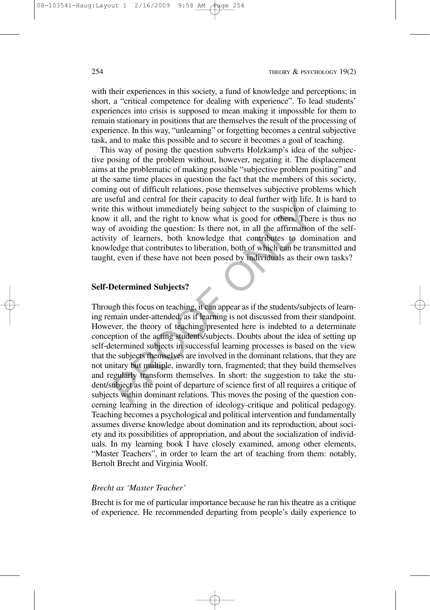with their experiences in this society, a fund of knowledge and perceptions; in short, a "critical competence for dealing with experience". To lead students' experiences into crisis is supposed to mean making it impossible for them to remain stationary in positions that are themselves the result of the processing of experience. In this way, "unlearning" or forgetting becomes a central subjective task, and to make this possible and to secure it becomes a goal of teaching.

This way of posing the question subverts Holzkamp's idea of the subjective posing of the problem without, however, negating it. The displacement aims at the problematic of making possible "subjective problem positing" and at the same time places in question the fact that the members of this society, coming out of difficult relations, pose themselves subjective problems which are useful and central for their capacity to deal further with life. It is hard to write this without immediately being subject to the suspicion of claiming to know it all, and the right to know what is good for others. There is thus no way of avoiding the question: Is there not, in all the affirmation of the selfactivity of learners, both knowledge that contributes to domination and knowledge that contributes to liberation, both of which can be transmitted and taught, even if these have not been posed by individuals as their own tasks?

# **Self-Determined Subjects?**

the wind contact for due to due to the suppliert to the supplier of the supplier to the supplier of clicitation of clicital in and the right to know what is good for others. There if a wind incernal incernal in the affirma Through this focus on teaching, it can appear as if the students/subjects of learning remain under-attended, as if learning is not discussed from their standpoint. However, the theory of teaching presented here is indebted to a determinate conception of the acting students/subjects. Doubts about the idea of setting up self-determined subjects in successful learning processes is based on the view that the subjects themselves are involved in the dominant relations, that they are not unitary but multiple, inwardly torn, fragmented; that they build themselves and regularly transform themselves. In short: the suggestion to take the student/subject as the point of departure of science first of all requires a critique of subjects within dominant relations. This moves the posing of the question concerning learning in the direction of ideology-critique and political pedagogy. Teaching becomes a psychological and political intervention and fundamentally assumes diverse knowledge about domination and its reproduction, about society and its possibilities of appropriation, and about the socialization of individuals. In my learning book I have closely examined, among other elements, "Master Teachers", in order to learn the art of teaching from them: notably, Bertolt Brecht and Virginia Woolf.

### *Brecht as 'Master Teacher'*

Brecht is for me of particular importance because he ran his theatre as a critique of experience. He recommended departing from people's daily experience to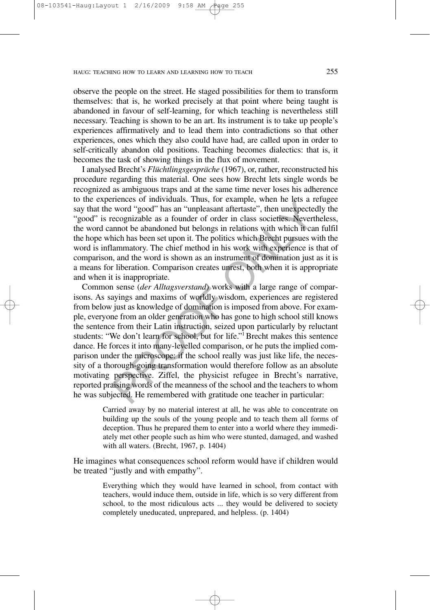observe the people on the street. He staged possibilities for them to transform themselves: that is, he worked precisely at that point where being taught is abandoned in favour of self-learning, for which teaching is nevertheless still necessary. Teaching is shown to be an art. Its instrument is to take up people's experiences affirmatively and to lead them into contradictions so that other experiences, ones which they also could have had, are called upon in order to self-critically abandon old positions. Teaching becomes dialectics: that is, it becomes the task of showing things in the flux of movement.

I analysed Brecht's *Flüchtlingsgespräche* (1967), or, rather, reconstructed his procedure regarding this material. One sees how Brecht lets single words be recognized as ambiguous traps and at the same time never loses his adherence to the experiences of individuals. Thus, for example, when he lets a refugee say that the word "good" has an "unpleasant aftertaste", then unexpectedly the "good" is recognizable as a founder of order in class societies. Nevertheless, the word cannot be abandoned but belongs in relations with which it can fulfil the hope which has been set upon it. The politics which Brecht pursues with the word is inflammatory. The chief method in his work with experience is that of comparison, and the word is shown as an instrument of domination just as it is a means for liberation. Comparison creates unrest, both when it is appropriate and when it is inappropriate.

Frences or marricales. That, for example, when the bas a recoveration<br>word "good" has an "unpleasant aftertaste", then unexpectedly<br>ecognizable as a founder of order in class societies. Neverthe<br>mnot be abandoned but belo Common sense (*der Alltagsverstand*) works with a large range of comparisons. As sayings and maxims of worldly wisdom, experiences are registered from below just as knowledge of domination is imposed from above. For example, everyone from an older generation who has gone to high school still knows the sentence from their Latin instruction, seized upon particularly by reluctant students: "We don't learn for school, but for life."<sup>1</sup> Brecht makes this sentence dance. He forces it into many-levelled comparison, or he puts the implied comparison under the microscope: if the school really was just like life, the necessity of a thorough-going transformation would therefore follow as an absolute motivating perspective. Ziffel, the physicist refugee in Brecht's narrative, reported praising words of the meanness of the school and the teachers to whom he was subjected. He remembered with gratitude one teacher in particular:

> Carried away by no material interest at all, he was able to concentrate on building up the souls of the young people and to teach them all forms of deception. Thus he prepared them to enter into a world where they immediately met other people such as him who were stunted, damaged, and washed with all waters. (Brecht, 1967, p. 1404)

He imagines what consequences school reform would have if children would be treated "justly and with empathy".

> Everything which they would have learned in school, from contact with teachers, would induce them, outside in life, which is so very different from school, to the most ridiculous acts ... they would be delivered to society completely uneducated, unprepared, and helpless. (p. 1404)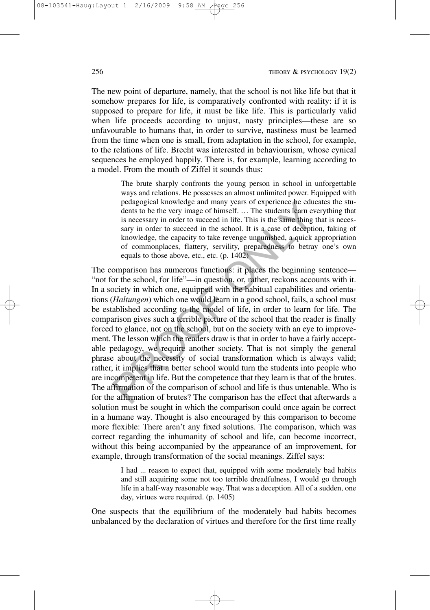The new point of departure, namely, that the school is not like life but that it somehow prepares for life, is comparatively confronted with reality: if it is supposed to prepare for life, it must be like life. This is particularly valid when life proceeds according to unjust, nasty principles—these are so unfavourable to humans that, in order to survive, nastiness must be learned from the time when one is small, from adaptation in the school, for example, to the relations of life. Brecht was interested in behaviourism, whose cynical sequences he employed happily. There is, for example, learning according to a model. From the mouth of Ziffel it sounds thus:

> The brute sharply confronts the young person in school in unforgettable ways and relations. He possesses an almost unlimited power. Equipped with pedagogical knowledge and many years of experience he educates the students to be the very image of himself. … The students learn everything that is necessary in order to succeed in life. This is the same thing that is necessary in order to succeed in the school. It is a case of deception, faking of knowledge, the capacity to take revenge unpunished, a quick appropriation of commonplaces, flattery, servility, preparedness to betray one's own equals to those above, etc., etc. (p. 1402)

pedagogical knowledge and many years of experience he educat<br>dents to be the very image of himself. ... The students learn ever<br>is necessary in order to succeed in life. This is the same thing that<br>say in order to succeed The comparison has numerous functions: it places the beginning sentence— "not for the school, for life"—in question, or, rather, reckons accounts with it. In a society in which one, equipped with the habitual capabilities and orientations (*Haltungen*) which one would learn in a good school, fails, a school must be established according to the model of life, in order to learn for life. The comparison gives such a terrible picture of the school that the reader is finally forced to glance, not on the school, but on the society with an eye to improvement. The lesson which the readers draw is that in order to have a fairly acceptable pedagogy, we require another society. That is not simply the general phrase about the necessity of social transformation which is always valid; rather, it implies that a better school would turn the students into people who are incompetent in life. But the competence that they learn is that of the brutes. The affirmation of the comparison of school and life is thus untenable. Who is for the affirmation of brutes? The comparison has the effect that afterwards a solution must be sought in which the comparison could once again be correct in a humane way. Thought is also encouraged by this comparison to become more flexible: There aren't any fixed solutions. The comparison, which was correct regarding the inhumanity of school and life, can become incorrect, without this being accompanied by the appearance of an improvement, for example, through transformation of the social meanings. Ziffel says:

> I had ... reason to expect that, equipped with some moderately bad habits and still acquiring some not too terrible dreadfulness, I would go through life in a half-way reasonable way. That was a deception. All of a sudden, one day, virtues were required. (p. 1405)

One suspects that the equilibrium of the moderately bad habits becomes unbalanced by the declaration of virtues and therefore for the first time really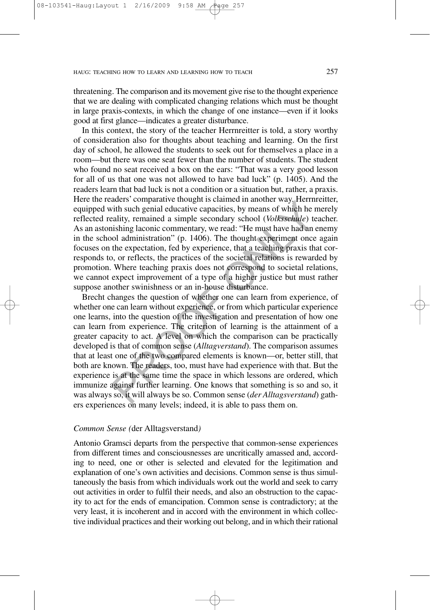08-103541-Haug:Layout 1 2/16/2009 9:58 AM Page 257

threatening. The comparison and its movement give rise to the thought experience that we are dealing with complicated changing relations which must be thought in large praxis-contexts, in which the change of one instance—even if it looks good at first glance—indicates a greater disturbance.

In this context, the story of the teacher Herrnreitter is told, a story worthy of consideration also for thoughts about teaching and learning. On the first day of school, he allowed the students to seek out for themselves a place in a room—but there was one seat fewer than the number of students. The student who found no seat received a box on the ears: "That was a very good lesson for all of us that one was not allowed to have bad luck" (p. 1405). And the readers learn that bad luck is not a condition or a situation but, rather, a praxis. Here the readers' comparative thought is claimed in another way. Herrnreitter, equipped with such genial educative capacities, by means of which he merely reflected reality, remained a simple secondary school (*Volksschule*) teacher. As an astonishing laconic commentary, we read: "He must have had an enemy in the school administration" (p. 1406). The thought experiment once again focuses on the expectation, fed by experience, that a teaching praxis that corresponds to, or reflects, the practices of the societal relations is rewarded by promotion. Where teaching praxis does not correspond to societal relations, we cannot expect improvement of a type of a higher justice but must rather suppose another swinishness or an in-house disturbance.

Least computative unegative and matter way. Then<br>the such such genal educative capacities, by means of which he meality, remained a simple secondary school (*Volksschule*) tea<br>aishing laconic commentary, we read: "He must Brecht changes the question of whether one can learn from experience, of whether one can learn without experience, or from which particular experience one learns, into the question of the investigation and presentation of how one can learn from experience. The criterion of learning is the attainment of a greater capacity to act. A level on which the comparison can be practically developed is that of common sense (*Alltagverstand*). The comparison assumes that at least one of the two compared elements is known—or, better still, that both are known. The readers, too, must have had experience with that. But the experience is at the same time the space in which lessons are ordered, which immunize against further learning. One knows that something is so and so, it was always so, it will always be so. Common sense (*der Alltagsverstand*) gathers experiences on many levels; indeed, it is able to pass them on.

### *Common Sense (*der Alltagsverstand*)*

Antonio Gramsci departs from the perspective that common-sense experiences from different times and consciousnesses are uncritically amassed and, according to need, one or other is selected and elevated for the legitimation and explanation of one's own activities and decisions. Common sense is thus simultaneously the basis from which individuals work out the world and seek to carry out activities in order to fulfil their needs, and also an obstruction to the capacity to act for the ends of emancipation. Common sense is contradictory; at the very least, it is incoherent and in accord with the environment in which collective individual practices and their working out belong, and in which their rational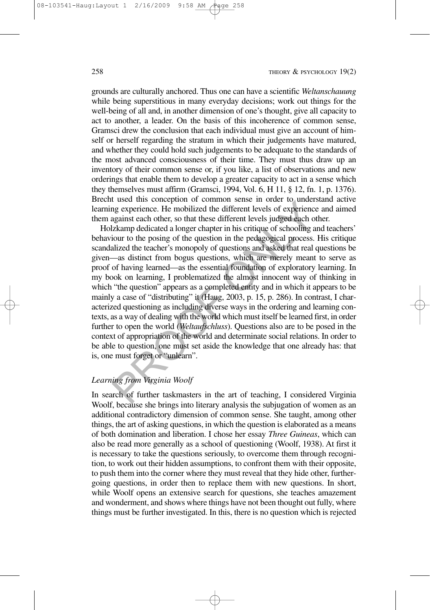grounds are culturally anchored. Thus one can have a scientific *Weltanschauung* while being superstitious in many everyday decisions; work out things for the well-being of all and, in another dimension of one's thought, give all capacity to act to another, a leader. On the basis of this incoherence of common sense, Gramsci drew the conclusion that each individual must give an account of himself or herself regarding the stratum in which their judgements have matured, and whether they could hold such judgements to be adequate to the standards of the most advanced consciousness of their time. They must thus draw up an inventory of their common sense or, if you like, a list of observations and new orderings that enable them to develop a greater capacity to act in a sense which they themselves must affirm (Gramsci, 1994, Vol. 6, H 11, § 12, fn. 1, p. 1376). Brecht used this conception of common sense in order to understand active learning experience. He mobilized the different levels of experience and aimed them against each other, so that these different levels judged each other.

r assemblance. He mobilized the different levels of experience. As more and a subsequent end all the mobilized the different levels judged each other against each other, so that these different levels judged each other le Holzkamp dedicated a longer chapter in his critique of schooling and teachers' behaviour to the posing of the question in the pedagogical process. His critique scandalized the teacher's monopoly of questions and asked that real questions be given—as distinct from bogus questions, which are merely meant to serve as proof of having learned—as the essential foundation of exploratory learning. In my book on learning, I problematized the almost innocent way of thinking in which "the question" appears as a completed entity and in which it appears to be mainly a case of "distributing" it (Haug, 2003, p. 15, p. 286). In contrast, I characterized questioning as including diverse ways in the ordering and learning contexts, as a way of dealing with the world which must itself be learned first, in order further to open the world (*Weltaufschluss*). Questions also are to be posed in the context of appropriation of the world and determinate social relations. In order to be able to question, one must set aside the knowledge that one already has: that is, one must forget or "unlearn".

# *Learning from Virginia Woolf*

In search of further taskmasters in the art of teaching, I considered Virginia Woolf, because she brings into literary analysis the subjugation of women as an additional contradictory dimension of common sense. She taught, among other things, the art of asking questions, in which the question is elaborated as a means of both domination and liberation. I chose her essay *Three Guineas*, which can also be read more generally as a school of questioning (Woolf, 1938). At first it is necessary to take the questions seriously, to overcome them through recognition, to work out their hidden assumptions, to confront them with their opposite, to push them into the corner where they must reveal that they hide other, furthergoing questions, in order then to replace them with new questions. In short, while Woolf opens an extensive search for questions, she teaches amazement and wonderment, and shows where things have not been thought out fully, where things must be further investigated. In this, there is no question which is rejected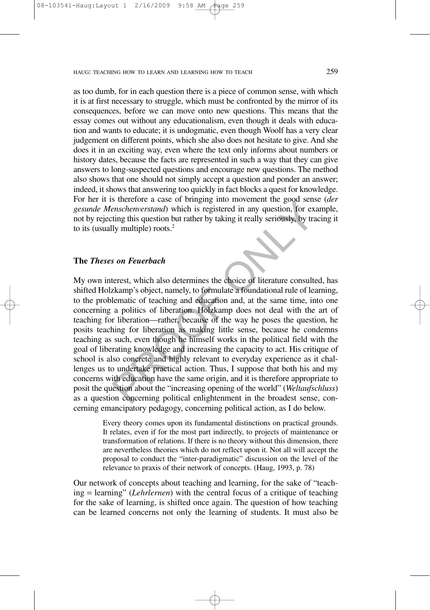as too dumb, for in each question there is a piece of common sense, with which it is at first necessary to struggle, which must be confronted by the mirror of its consequences, before we can move onto new questions. This means that the essay comes out without any educationalism, even though it deals with education and wants to educate; it is undogmatic, even though Woolf has a very clear judgement on different points, which she also does not hesitate to give. And she does it in an exciting way, even where the text only informs about numbers or history dates, because the facts are represented in such a way that they can give answers to long-suspected questions and encourage new questions. The method also shows that one should not simply accept a question and ponder an answer; indeed, it shows that answering too quickly in fact blocks a quest for knowledge. For her it is therefore a case of bringing into movement the good sense (*der gesunde Menschenverstand*) which is registered in any question, for example, not by rejecting this question but rather by taking it really seriously, by tracing it to its (usually multiple) roots.<sup>2</sup>

# **The** *Theses on Feuerbach*

s accordine and a magnity and all the mericular and solutions and the section are or an entire that the present<br>enschemerstand) which is registered in any question, for exampling this question but rather by taking it reall My own interest, which also determines the choice of literature consulted, has shifted Holzkamp's object, namely, to formulate a foundational rule of learning, to the problematic of teaching and education and, at the same time, into one concerning a politics of liberation. Holzkamp does not deal with the art of teaching for liberation—rather, because of the way he poses the question, he posits teaching for liberation as making little sense, because he condemns teaching as such, even though he himself works in the political field with the goal of liberating knowledge and increasing the capacity to act. His critique of school is also concrete and highly relevant to everyday experience as it challenges us to undertake practical action. Thus, I suppose that both his and my concerns with education have the same origin, and it is therefore appropriate to posit the question about the "increasing opening of the world" (*Weltaufschluss*) as a question concerning political enlightenment in the broadest sense, concerning emancipatory pedagogy, concerning political action, as I do below.

> Every theory comes upon its fundamental distinctions on practical grounds. It relates, even if for the most part indirectly, to projects of maintenance or transformation of relations. If there is no theory without this dimension, there are nevertheless theories which do not reflect upon it. Not all will accept the proposal to conduct the "inter-paradigmatic" discussion on the level of the relevance to praxis of their network of concepts. (Haug, 1993, p. 78)

Our network of concepts about teaching and learning, for the sake of "teaching = learning" (*Lehrlernen*) with the central focus of a critique of teaching for the sake of learning, is shifted once again. The question of how teaching can be learned concerns not only the learning of students. It must also be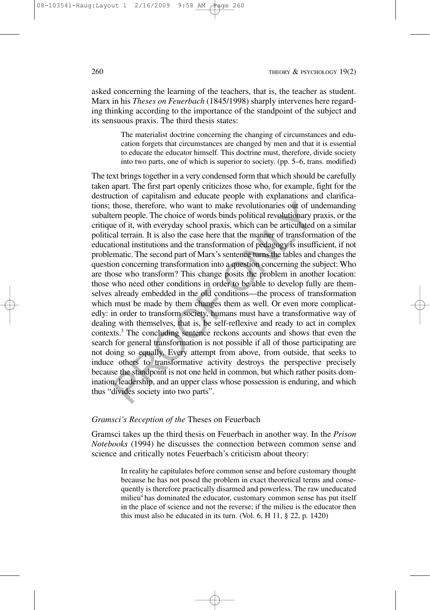asked concerning the learning of the teachers, that is, the teacher as student. Marx in his *Theses on Feuerbach* (1845/1998) sharply intervenes here regarding thinking according to the importance of the standpoint of the subject and its sensuous praxis. The third thesis states:

> The materialist doctrine concerning the changing of circumstances and education forgets that circumstances are changed by men and that it is essential to educate the educator himself. This doctrine must, therefore, divide society into two parts, one of which is superior to society. (pp. 5–6, trans. modified)

those, therefore, who want to make revolutionaries out of und<br>ern people. The choice of words binds political revolutionary pra<br>e of it, with everyday school praxis, which can be articulated or<br>al terrain. It is also the c The text brings together in a very condensed form that which should be carefully taken apart. The first part openly criticizes those who, for example, fight for the destruction of capitalism and educate people with explanations and clarifications; those, therefore, who want to make revolutionaries out of undemanding subaltern people. The choice of words binds political revolutionary praxis, or the critique of it, with everyday school praxis, which can be articulated on a similar political terrain. It is also the case here that the manner of transformation of the educational institutions and the transformation of pedagogy is insufficient, if not problematic. The second part of Marx's sentence turns the tables and changes the question concerning transformation into a question concerning the subject: Who are those who transform? This change posits the problem in another location: those who need other conditions in order to be able to develop fully are themselves already embedded in the old conditions—the process of transformation which must be made by them changes them as well. Or even more complicatedly: in order to transform society, humans must have a transformative way of dealing with themselves, that is, be self-reflexive and ready to act in complex contexts.3 The concluding sentence reckons accounts and shows that even the search for general transformation is not possible if all of those participating are not doing so equally. Every attempt from above, from outside, that seeks to induce others to transformative activity destroys the perspective precisely because the standpoint is not one held in common, but which rather posits domination, leadership, and an upper class whose possession is enduring, and which thus "divides society into two parts".

# *Gramsci's Reception of the* Theses on Feuerbach

Gramsci takes up the third thesis on Feuerbach in another way. In the *Prison Notebooks* (1994) he discusses the connection between common sense and science and critically notes Feuerbach's criticism about theory:

> In reality he capitulates before common sense and before customary thought because he has not posed the problem in exact theoretical terms and consequently is therefore practically disarmed and powerless. The raw uneducated milieu<sup>4</sup> has dominated the educator, customary common sense has put itself in the place of science and not the reverse; if the milieu is the educator then this must also be educated in its turn. (Vol. 6, H 11, § 22, p. 1420)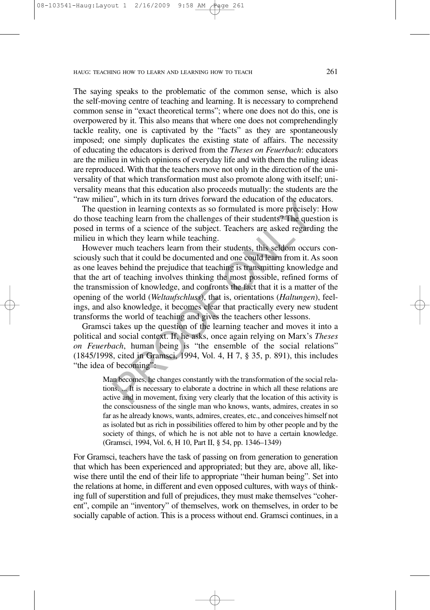The saying speaks to the problematic of the common sense, which is also the self-moving centre of teaching and learning. It is necessary to comprehend common sense in "exact theoretical terms"; where one does not do this, one is overpowered by it. This also means that where one does not comprehendingly tackle reality, one is captivated by the "facts" as they are spontaneously imposed; one simply duplicates the existing state of affairs. The necessity of educating the educators is derived from the *Theses on Feuerbach*: educators are the milieu in which opinions of everyday life and with them the ruling ideas are reproduced. With that the teachers move not only in the direction of the universality of that which transformation must also promote along with itself; universality means that this education also proceeds mutually: the students are the "raw milieu", which in its turn drives forward the education of the educators.

The question in learning contexts as so formulated is more precisely: How do those teaching learn from the challenges of their students? The question is posed in terms of a science of the subject. Teachers are asked regarding the milieu in which they learn while teaching.

r, when in its cann arres forward are canceled is more precisely: Istion in learning contexts as so formulated is more precisely: The questicens of a science of the subject. Teachers are asked regarding hearn from the cha However much teachers learn from their students, this seldom occurs consciously such that it could be documented and one could learn from it. As soon as one leaves behind the prejudice that teaching is transmitting knowledge and that the art of teaching involves thinking the most possible, refined forms of the transmission of knowledge, and confronts the fact that it is a matter of the opening of the world (*Weltaufschluss*), that is, orientations (*Haltungen*), feelings, and also knowledge, it becomes clear that practically every new student transforms the world of teaching and gives the teachers other lessons.

Gramsci takes up the question of the learning teacher and moves it into a political and social context. If, he asks, once again relying on Marx's *Theses on Feuerbach*, human being is "the ensemble of the social relations" (1845/1998, cited in Gramsci, 1994, Vol. 4, H 7, § 35, p. 891), this includes "the idea of becoming":

> Man becomes, he changes constantly with the transformation of the social relations. ... It is necessary to elaborate a doctrine in which all these relations are active and in movement, fixing very clearly that the location of this activity is the consciousness of the single man who knows, wants, admires, creates in so far as he already knows, wants, admires, creates, etc., and conceives himself not as isolated but as rich in possibilities offered to him by other people and by the society of things, of which he is not able not to have a certain knowledge. (Gramsci, 1994, Vol. 6, H 10, Part II, § 54, pp. 1346–1349)

For Gramsci, teachers have the task of passing on from generation to generation that which has been experienced and appropriated; but they are, above all, likewise there until the end of their life to appropriate "their human being". Set into the relations at home, in different and even opposed cultures, with ways of thinking full of superstition and full of prejudices, they must make themselves "coherent", compile an "inventory" of themselves, work on themselves, in order to be socially capable of action. This is a process without end. Gramsci continues, in a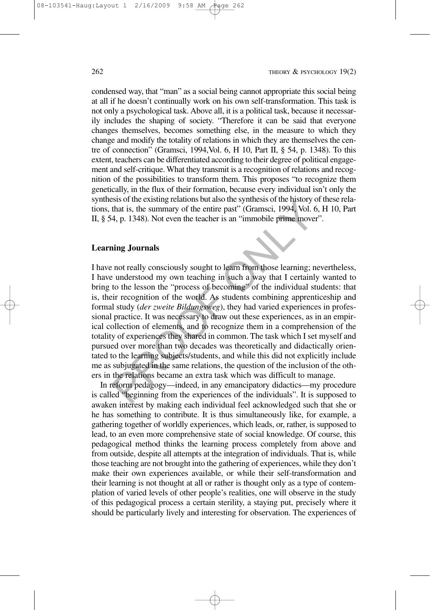condensed way, that "man" as a social being cannot appropriate this social being at all if he doesn't continually work on his own self-transformation. This task is not only a psychological task. Above all, it is a political task, because it necessarily includes the shaping of society. "Therefore it can be said that everyone changes themselves, becomes something else, in the measure to which they change and modify the totality of relations in which they are themselves the centre of connection" (Gramsci, 1994,Vol. 6, H 10, Part II, § 54, p. 1348). To this extent, teachers can be differentiated according to their degree of political engagement and self-critique. What they transmit is a recognition of relations and recognition of the possibilities to transform them. This proposes "to recognize them genetically, in the flux of their formation, because every individual isn't only the synthesis of the existing relations but also the synthesis of the history of these relations, that is, the summary of the entire past" (Gramsci, 1994, Vol. 6, H 10, Part II, § 54, p. 1348). Not even the teacher is an "immobile prime mover".

### **Learning Journals**

Show the examing relations out also the significant of the intensity of<br>that is, the summary of the entire past" (Gramsci, 1994, Vol. 6, 4, p. 1348). Not even the teacher is an "immobile prime mover".<br>A, p. 1348). Not eve I have not really consciously sought to learn from those learning; nevertheless, I have understood my own teaching in such a way that I certainly wanted to bring to the lesson the "process of becoming" of the individual students: that is, their recognition of the world. As students combining apprenticeship and formal study (*der zweite Bildungsweg*), they had varied experiences in professional practice. It was necessary to draw out these experiences, as in an empirical collection of elements, and to recognize them in a comprehension of the totality of experiences they shared in common. The task which I set myself and pursued over more than two decades was theoretically and didactically orientated to the learning subjects/students, and while this did not explicitly include me as subjugated in the same relations, the question of the inclusion of the others in the relations became an extra task which was difficult to manage.

In reform pedagogy—indeed, in any emancipatory didactics—my procedure is called "beginning from the experiences of the individuals". It is supposed to awaken interest by making each individual feel acknowledged such that she or he has something to contribute. It is thus simultaneously like, for example, a gathering together of worldly experiences, which leads, or, rather, is supposed to lead, to an even more comprehensive state of social knowledge. Of course, this pedagogical method thinks the learning process completely from above and from outside, despite all attempts at the integration of individuals. That is, while those teaching are not brought into the gathering of experiences, while they don't make their own experiences available, or while their self-transformation and their learning is not thought at all or rather is thought only as a type of contemplation of varied levels of other people's realities, one will observe in the study of this pedagogical process a certain sterility, a staying put, precisely where it should be particularly lively and interesting for observation. The experiences of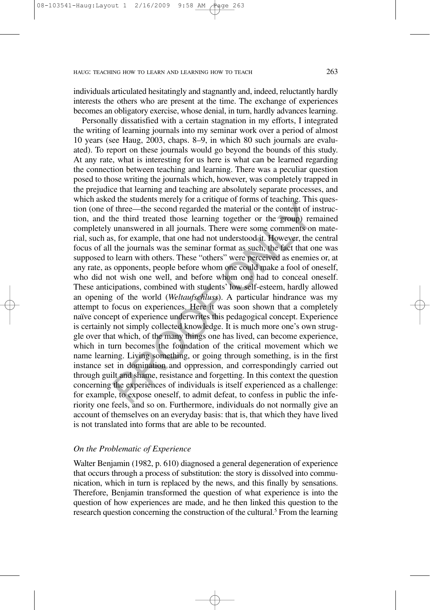08-103541-Haug: Layout

individuals articulated hesitatingly and stagnantly and, indeed, reluctantly hardly interests the others who are present at the time. The exchange of experiences becomes an obligatory exercise, whose denial, in turn, hardly advances learning.

are a seaconal median or earling to the matter of three—the second regarded the material or the content of inset<br>the third tracted those learning together or the group) rema<br>unanswered in all journals. There were some comm Personally dissatisfied with a certain stagnation in my efforts, I integrated the writing of learning journals into my seminar work over a period of almost 10 years (see Haug, 2003, chaps. 8–9, in which 80 such journals are evaluated). To report on these journals would go beyond the bounds of this study. At any rate, what is interesting for us here is what can be learned regarding the connection between teaching and learning. There was a peculiar question posed to those writing the journals which, however, was completely trapped in the prejudice that learning and teaching are absolutely separate processes, and which asked the students merely for a critique of forms of teaching. This question (one of three—the second regarded the material or the content of instruction, and the third treated those learning together or the group) remained completely unanswered in all journals. There were some comments on material, such as, for example, that one had not understood it. However, the central focus of all the journals was the seminar format as such, the fact that one was supposed to learn with others. These "others" were perceived as enemies or, at any rate, as opponents, people before whom one could make a fool of oneself, who did not wish one well, and before whom one had to conceal oneself. These anticipations, combined with students' low self-esteem, hardly allowed an opening of the world (*Weltaufschluss*). A particular hindrance was my attempt to focus on experiences. Here it was soon shown that a completely naïve concept of experience underwrites this pedagogical concept. Experience is certainly not simply collected knowledge. It is much more one's own struggle over that which, of the many things one has lived, can become experience, which in turn becomes the foundation of the critical movement which we name learning. Living something, or going through something, is in the first instance set in domination and oppression, and correspondingly carried out through guilt and shame, resistance and forgetting. In this context the question concerning the experiences of individuals is itself experienced as a challenge: for example, to expose oneself, to admit defeat, to confess in public the inferiority one feels, and so on. Furthermore, individuals do not normally give an account of themselves on an everyday basis: that is, that which they have lived is not translated into forms that are able to be recounted.

### *On the Problematic of Experience*

Walter Benjamin (1982, p. 610) diagnosed a general degeneration of experience that occurs through a process of substitution: the story is dissolved into communication, which in turn is replaced by the news, and this finally by sensations. Therefore, Benjamin transformed the question of what experience is into the question of how experiences are made, and he then linked this question to the research question concerning the construction of the cultural.<sup>5</sup> From the learning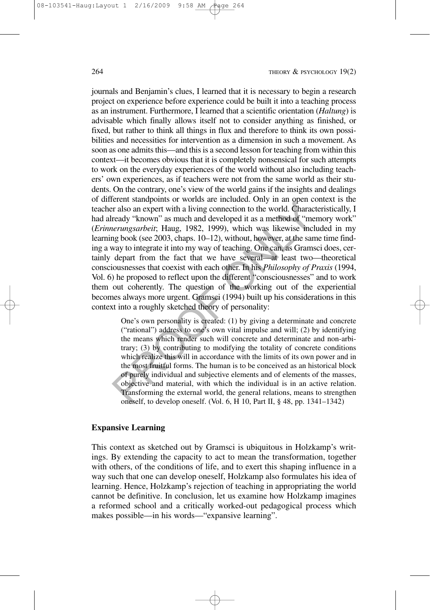Er also an expert with a living connection to the world. Character<br>
ar also an expert with a living connection to the world. Character<br>
ready "known" as much and developed it as a method of "mem-<br>
nerungsarbeit; Haug, 198 journals and Benjamin's clues, I learned that it is necessary to begin a research project on experience before experience could be built it into a teaching process as an instrument. Furthermore, I learned that a scientific orientation (*Haltung*) is advisable which finally allows itself not to consider anything as finished, or fixed, but rather to think all things in flux and therefore to think its own possibilities and necessities for intervention as a dimension in such a movement. As soon as one admits this—and this is a second lesson for teaching from within this context—it becomes obvious that it is completely nonsensical for such attempts to work on the everyday experiences of the world without also including teachers' own experiences, as if teachers were not from the same world as their students. On the contrary, one's view of the world gains if the insights and dealings of different standpoints or worlds are included. Only in an open context is the teacher also an expert with a living connection to the world. Characteristically, I had already "known" as much and developed it as a method of "memory work" (*Erinnerungsarbeit*; Haug, 1982, 1999), which was likewise included in my learning book (see 2003, chaps. 10–12), without, however, at the same time finding a way to integrate it into my way of teaching. One can, as Gramsci does, certainly depart from the fact that we have several—at least two—theoretical consciousnesses that coexist with each other. In his *Philosophy of Praxis* (1994, Vol. 6) he proposed to reflect upon the different "consciousnesses" and to work them out coherently. The question of the working out of the experiential becomes always more urgent. Gramsci (1994) built up his considerations in this context into a roughly sketched theory of personality:

One's own personality is created: (1) by giving a determinate and concrete ("rational") address to one's own vital impulse and will; (2) by identifying the means which render such will concrete and determinate and non-arbitrary; (3) by contributing to modifying the totality of concrete conditions which realize this will in accordance with the limits of its own power and in the most fruitful forms. The human is to be conceived as an historical block of purely individual and subjective elements and of elements of the masses, objective and material, with which the individual is in an active relation. Transforming the external world, the general relations, means to strengthen oneself, to develop oneself. (Vol. 6, H 10, Part II, § 48, pp. 1341–1342)

# **Expansive Learning**

This context as sketched out by Gramsci is ubiquitous in Holzkamp's writings. By extending the capacity to act to mean the transformation, together with others, of the conditions of life, and to exert this shaping influence in a way such that one can develop oneself, Holzkamp also formulates his idea of learning. Hence, Holzkamp's rejection of teaching in appropriating the world cannot be definitive. In conclusion, let us examine how Holzkamp imagines a reformed school and a critically worked-out pedagogical process which makes possible—in his words—"expansive learning".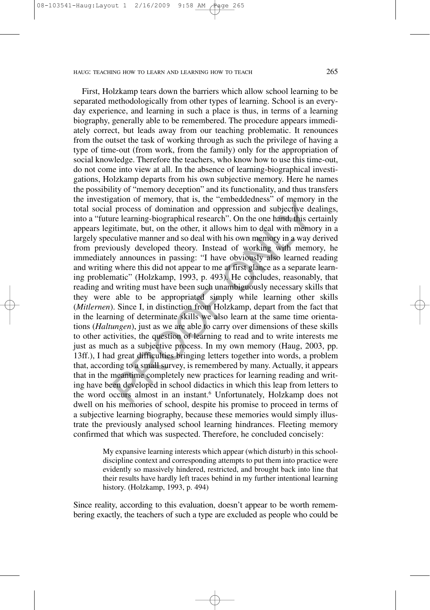guno of mentory, unat is, the concelencements of process of domination and oppression and subjective dealine<br>re learning-biographical research". On the one hand, this cert<br>titimate, but, on the other, it allows him to dea First, Holzkamp tears down the barriers which allow school learning to be separated methodologically from other types of learning. School is an everyday experience, and learning in such a place is thus, in terms of a learning biography, generally able to be remembered. The procedure appears immediately correct, but leads away from our teaching problematic. It renounces from the outset the task of working through as such the privilege of having a type of time-out (from work, from the family) only for the appropriation of social knowledge. Therefore the teachers, who know how to use this time-out, do not come into view at all. In the absence of learning-biographical investigations, Holzkamp departs from his own subjective memory. Here he names the possibility of "memory deception" and its functionality, and thus transfers the investigation of memory, that is, the "embeddedness" of memory in the total social process of domination and oppression and subjective dealings, into a "future learning-biographical research". On the one hand, this certainly appears legitimate, but, on the other, it allows him to deal with memory in a largely speculative manner and so deal with his own memory in a way derived from previously developed theory. Instead of working with memory, he immediately announces in passing: "I have obviously also learned reading and writing where this did not appear to me at first glance as a separate learning problematic" (Holzkamp, 1993, p. 493). He concludes, reasonably, that reading and writing must have been such unambiguously necessary skills that they were able to be appropriated simply while learning other skills (*Mitlernen*). Since I, in distinction from Holzkamp, depart from the fact that in the learning of determinate skills we also learn at the same time orientations (*Haltungen*), just as we are able to carry over dimensions of these skills to other activities, the question of learning to read and to write interests me just as much as a subjective process. In my own memory (Haug, 2003, pp. 13ff.), I had great difficulties bringing letters together into words, a problem that, according to a small survey, is remembered by many. Actually, it appears that in the meantime completely new practices for learning reading and writing have been developed in school didactics in which this leap from letters to the word occurs almost in an instant.<sup>6</sup> Unfortunately, Holzkamp does not dwell on his memories of school, despite his promise to proceed in terms of a subjective learning biography, because these memories would simply illustrate the previously analysed school learning hindrances. Fleeting memory confirmed that which was suspected. Therefore, he concluded concisely:

> My expansive learning interests which appear (which disturb) in this schooldiscipline context and corresponding attempts to put them into practice were evidently so massively hindered, restricted, and brought back into line that their results have hardly left traces behind in my further intentional learning history. (Holzkamp, 1993, p. 494)

Since reality, according to this evaluation, doesn't appear to be worth remembering exactly, the teachers of such a type are excluded as people who could be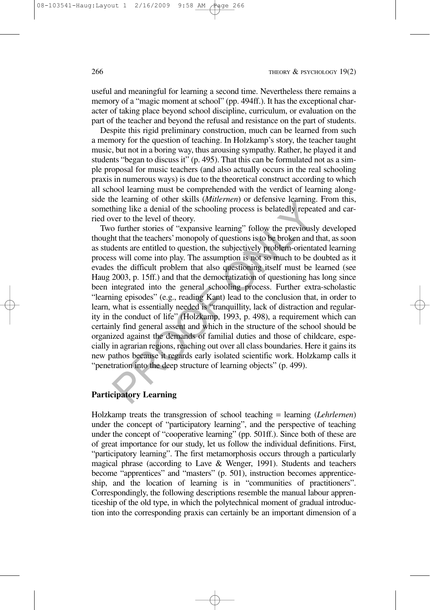useful and meaningful for learning a second time. Nevertheless there remains a memory of a "magic moment at school" (pp. 494ff.). It has the exceptional character of taking place beyond school discipline, curriculum, or evaluation on the part of the teacher and beyond the refusal and resistance on the part of students.

Despite this rigid preliminary construction, much can be learned from such a memory for the question of teaching. In Holzkamp's story, the teacher taught music, but not in a boring way, thus arousing sympathy. Rather, he played it and students "began to discuss it" (p. 495). That this can be formulated not as a simple proposal for music teachers (and also actually occurs in the real schooling praxis in numerous ways) is due to the theoretical construct according to which all school learning must be comprehended with the verdict of learning alongside the learning of other skills (*Mitlernen*) or defensive learning. From this, something like a denial of the schooling process is belatedly repeated and carried over to the level of theory.

Let extending to other stars (and the change of learning the deep structure and the deep structure of the level of theory.<br>
In this like a denial of the schooling process is belatedly repeated were to the level of theory.<br> Two further stories of "expansive learning" follow the previously developed thought that the teachers'monopoly of questions is to be broken and that, as soon as students are entitled to question, the subjectively problem-orientated learning process will come into play. The assumption is not so much to be doubted as it evades the difficult problem that also questioning itself must be learned (see Haug 2003, p. 15ff.) and that the democratization of questioning has long since been integrated into the general schooling process. Further extra-scholastic "learning episodes" (e.g., reading Kant) lead to the conclusion that, in order to learn, what is essentially needed is "tranquillity, lack of distraction and regularity in the conduct of life" (Holzkamp, 1993, p. 498), a requirement which can certainly find general assent and which in the structure of the school should be organized against the demands of familial duties and those of childcare, especially in agrarian regions, reaching out over all class boundaries. Here it gains its new pathos because it regards early isolated scientific work. Holzkamp calls it "penetration into the deep structure of learning objects" (p. 499).

# **Participatory Learning**

Holzkamp treats the transgression of school teaching = learning (*Lehrlernen*) under the concept of "participatory learning", and the perspective of teaching under the concept of "cooperative learning" (pp. 501ff.). Since both of these are of great importance for our study, let us follow the individual definitions. First, "participatory learning". The first metamorphosis occurs through a particularly magical phrase (according to Lave & Wenger, 1991). Students and teachers become "apprentices" and "masters" (p. 501), instruction becomes apprenticeship, and the location of learning is in "communities of practitioners". Correspondingly, the following descriptions resemble the manual labour apprenticeship of the old type, in which the polytechnical moment of gradual introduction into the corresponding praxis can certainly be an important dimension of a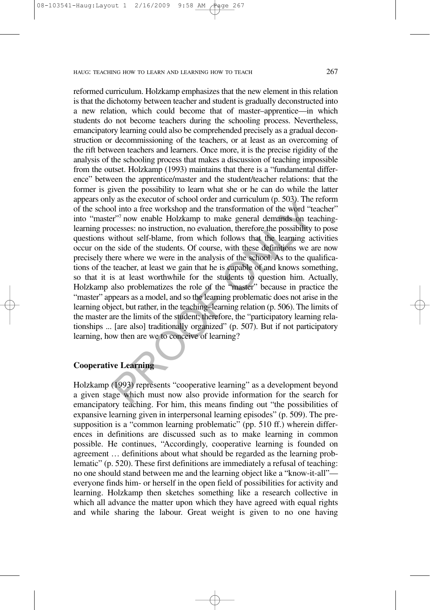08-103541-Haug: Layout

as a concerned of sensor order and carredon time the solution of the word "teader"<br>or  $\frac{1}{2}$  in the a free workshop and the transformation of the word "teaders<br>resses: no instruction, no evaluation, therefore the possi reformed curriculum. Holzkamp emphasizes that the new element in this relation is that the dichotomy between teacher and student is gradually deconstructed into a new relation, which could become that of master–apprentice—in which students do not become teachers during the schooling process. Nevertheless, emancipatory learning could also be comprehended precisely as a gradual deconstruction or decommissioning of the teachers, or at least as an overcoming of the rift between teachers and learners. Once more, it is the precise rigidity of the analysis of the schooling process that makes a discussion of teaching impossible from the outset. Holzkamp (1993) maintains that there is a "fundamental difference" between the apprentice/master and the student/teacher relations: that the former is given the possibility to learn what she or he can do while the latter appears only as the executor of school order and curriculum (p. 503). The reform of the school into a free workshop and the transformation of the word "teacher" into "master"<sup>7</sup> now enable Holzkamp to make general demands on teachinglearning processes: no instruction, no evaluation, therefore the possibility to pose questions without self-blame, from which follows that the learning activities occur on the side of the students. Of course, with these definitions we are now precisely there where we were in the analysis of the school. As to the qualifications of the teacher, at least we gain that he is capable of and knows something, so that it is at least worthwhile for the students to question him. Actually, Holzkamp also problematizes the role of the "master" because in practice the "master" appears as a model, and so the learning problematic does not arise in the learning object, but rather, in the teaching–learning relation (p. 506). The limits of the master are the limits of the student; therefore, the "participatory learning relationships ... [are also] traditionally organized" (p. 507). But if not participatory learning, how then are we to conceive of learning?

# **Cooperative Learning**

Holzkamp (1993) represents "cooperative learning" as a development beyond a given stage which must now also provide information for the search for emancipatory teaching. For him, this means finding out "the possibilities of expansive learning given in interpersonal learning episodes" (p. 509). The presupposition is a "common learning problematic" (pp. 510 ff.) wherein differences in definitions are discussed such as to make learning in common possible. He continues, "Accordingly, cooperative learning is founded on agreement … definitions about what should be regarded as the learning problematic" (p. 520). These first definitions are immediately a refusal of teaching: no one should stand between me and the learning object like a "know-it-all" everyone finds him- or herself in the open field of possibilities for activity and learning. Holzkamp then sketches something like a research collective in which all advance the matter upon which they have agreed with equal rights and while sharing the labour. Great weight is given to no one having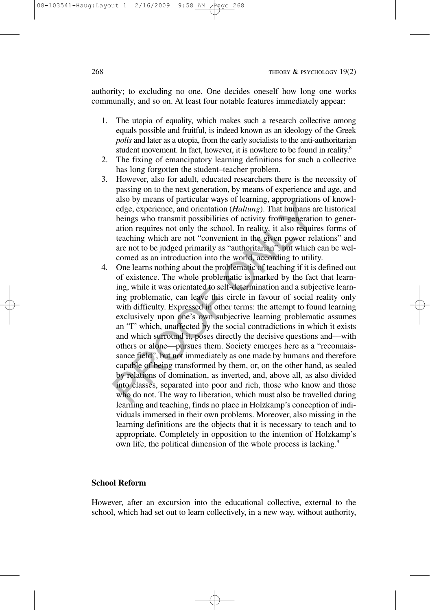authority; to excluding no one. One decides oneself how long one works communally, and so on. At least four notable features immediately appear:

- 1. The utopia of equality, which makes such a research collective among equals possible and fruitful, is indeed known as an ideology of the Greek *polis* and later as a utopia, from the early socialists to the anti-authoritarian student movement. In fact, however, it is nowhere to be found in reality.<sup>8</sup>
- 2. The fixing of emancipatory learning definitions for such a collective has long forgotten the student–teacher problem.
- 3. However, also for adult, educated researchers there is the necessity of passing on to the next generation, by means of experience and age, and also by means of particular ways of learning, appropriations of knowledge, experience, and orientation (*Haltung*). That humans are historical beings who transmit possibilities of activity from generation to generation requires not only the school. In reality, it also requires forms of teaching which are not "convenient in the given power relations" and are not to be judged primarily as "authoritarian", but which can be welcomed as an introduction into the world, according to utility.
- does by means of paradial ways of celuming, uppropriation<br>edge, experience, and orientation (*Haltung*). That humans are<br>beings who transmit possibilities of activity from generation<br>ation requires not only the school. In 4. One learns nothing about the problematic of teaching if it is defined out of existence. The whole problematic is marked by the fact that learning, while it was orientated to self-determination and a subjective learning problematic, can leave this circle in favour of social reality only with difficulty. Expressed in other terms: the attempt to found learning exclusively upon one's own subjective learning problematic assumes an "I" which, unaffected by the social contradictions in which it exists and which surround it, poses directly the decisive questions and—with others or alone—pursues them. Society emerges here as a "reconnaissance field", but not immediately as one made by humans and therefore capable of being transformed by them, or, on the other hand, as sealed by relations of domination, as inverted, and, above all, as also divided into classes, separated into poor and rich, those who know and those who do not. The way to liberation, which must also be travelled during learning and teaching, finds no place in Holzkamp's conception of individuals immersed in their own problems. Moreover, also missing in the learning definitions are the objects that it is necessary to teach and to appropriate. Completely in opposition to the intention of Holzkamp's own life, the political dimension of the whole process is lacking.9

# **School Reform**

However, after an excursion into the educational collective, external to the school, which had set out to learn collectively, in a new way, without authority,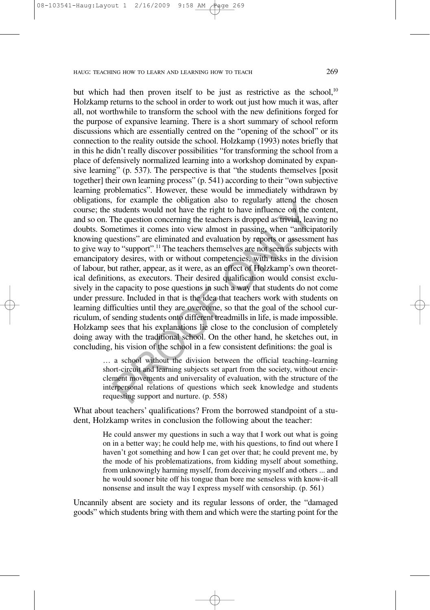For example the congagion also to regulary at<br>states would not have the right to have influence on the conflicted<br>the question concerning the teachers is dropped as trivial, leavin<br>metimes it comes into view almost in pas but which had then proven itself to be just as restrictive as the school, $10$ Holzkamp returns to the school in order to work out just how much it was, after all, not worthwhile to transform the school with the new definitions forged for the purpose of expansive learning. There is a short summary of school reform discussions which are essentially centred on the "opening of the school" or its connection to the reality outside the school. Holzkamp (1993) notes briefly that in this he didn't really discover possibilities "for transforming the school from a place of defensively normalized learning into a workshop dominated by expansive learning" (p. 537). The perspective is that "the students themselves [posit together] their own learning process" (p. 541) according to their "own subjective learning problematics". However, these would be immediately withdrawn by obligations, for example the obligation also to regularly attend the chosen course; the students would not have the right to have influence on the content, and so on. The question concerning the teachers is dropped as trivial, leaving no doubts. Sometimes it comes into view almost in passing, when "anticipatorily knowing questions" are eliminated and evaluation by reports or assessment has to give way to "support".11 The teachers themselves are not seen as subjects with emancipatory desires, with or without competencies, with tasks in the division of labour, but rather, appear, as it were, as an effect of Holzkamp's own theoretical definitions, as executors. Their desired qualification would consist exclusively in the capacity to pose questions in such a way that students do not come under pressure. Included in that is the idea that teachers work with students on learning difficulties until they are overcome, so that the goal of the school curriculum, of sending students onto different treadmills in life, is made impossible. Holzkamp sees that his explanations lie close to the conclusion of completely doing away with the traditional school. On the other hand, he sketches out, in concluding, his vision of the school in a few consistent definitions: the goal is

… a school without the division between the official teaching–learning short-circuit and learning subjects set apart from the society, without encirclement movements and universality of evaluation, with the structure of the interpersonal relations of questions which seek knowledge and students requesting support and nurture. (p. 558)

What about teachers' qualifications? From the borrowed standpoint of a student, Holzkamp writes in conclusion the following about the teacher:

> He could answer my questions in such a way that I work out what is going on in a better way; he could help me, with his questions, to find out where I haven't got something and how I can get over that; he could prevent me, by the mode of his problematizations, from kidding myself about something, from unknowingly harming myself, from deceiving myself and others ... and he would sooner bite off his tongue than bore me senseless with know-it-all nonsense and insult the way I express myself with censorship. (p. 561)

Uncannily absent are society and its regular lessons of order, the "damaged goods" which students bring with them and which were the starting point for the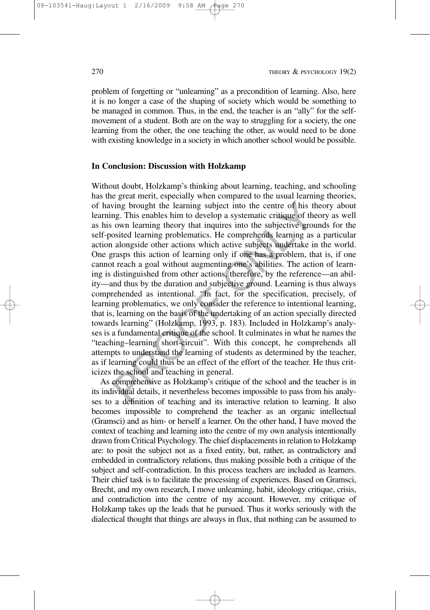problem of forgetting or "unlearning" as a precondition of learning. Also, here it is no longer a case of the shaping of society which would be something to be managed in common. Thus, in the end, the teacher is an "ally" for the selfmovement of a student. Both are on the way to struggling for a society, the one learning from the other, the one teaching the other, as would need to be done with existing knowledge in a society in which another school would be possible.

# **In Conclusion: Discussion with Holzkamp**

iving brought the learning subject into the centre of his the meas. This enables him to develop a systematic critique of theo own learning theory that inquires into the subjective ground solved learning problematics. He co Without doubt, Holzkamp's thinking about learning, teaching, and schooling has the great merit, especially when compared to the usual learning theories, of having brought the learning subject into the centre of his theory about learning. This enables him to develop a systematic critique of theory as well as his own learning theory that inquires into the subjective grounds for the self-posited learning problematics. He comprehends learning as a particular action alongside other actions which active subjects undertake in the world. One grasps this action of learning only if one has a problem, that is, if one cannot reach a goal without augmenting one's abilities. The action of learning is distinguished from other actions, therefore, by the reference—an ability—and thus by the duration and subjective ground. Learning is thus always comprehended as intentional. "In fact, for the specification, precisely, of learning problematics, we only consider the reference to intentional learning, that is, learning on the basis of the undertaking of an action specially directed towards learning" (Holzkamp, 1993, p. 183). Included in Holzkamp's analyses is a fundamental critique of the school. It culminates in what he names the "teaching–learning short-circuit". With this concept, he comprehends all attempts to understand the learning of students as determined by the teacher, as if learning could thus be an effect of the effort of the teacher. He thus criticizes the school and teaching in general.

As comprehensive as Holzkamp's critique of the school and the teacher is in its individual details, it nevertheless becomes impossible to pass from his analyses to a definition of teaching and its interactive relation to learning. It also becomes impossible to comprehend the teacher as an organic intellectual (Gramsci) and as him- or herself a learner. On the other hand, I have moved the context of teaching and learning into the centre of my own analysis intentionally drawn from Critical Psychology. The chief displacements in relation to Holzkamp are: to posit the subject not as a fixed entity, but, rather, as contradictory and embedded in contradictory relations, thus making possible both a critique of the subject and self-contradiction. In this process teachers are included as learners. Their chief task is to facilitate the processing of experiences. Based on Gramsci, Brecht, and my own research, I move unlearning, habit, ideology critique, crisis, and contradiction into the centre of my account. However, my critique of Holzkamp takes up the leads that he pursued. Thus it works seriously with the dialectical thought that things are always in flux, that nothing can be assumed to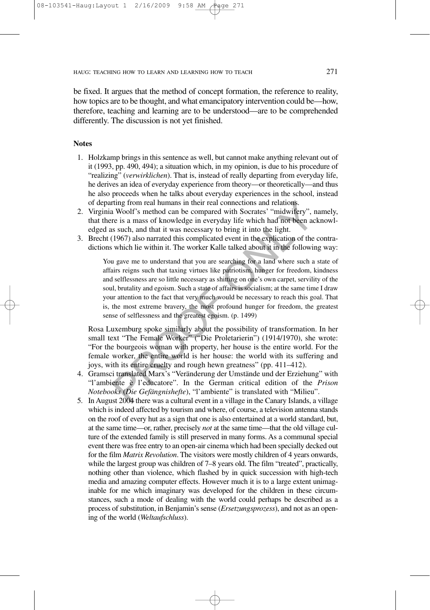be fixed. It argues that the method of concept formation, the reference to reality, how topics are to be thought, and what emancipatory intervention could be—how, therefore, teaching and learning are to be understood—are to be comprehended differently. The discussion is not yet finished.

### **Notes**

- 1. Holzkamp brings in this sentence as well, but cannot make anything relevant out of it (1993, pp. 490, 494); a situation which, in my opinion, is due to his procedure of "realizing" (*verwirklichen*). That is, instead of really departing from everyday life, he derives an idea of everyday experience from theory—or theoretically—and thus he also proceeds when he talks about everyday experiences in the school, instead of departing from real humans in their real connections and relations.
- 2. Virginia Woolf's method can be compared with Socrates' "midwifery", namely, that there is a mass of knowledge in everyday life which had not been acknowledged as such, and that it was necessary to bring it into the light.
- 3. Brecht (1967) also narrated this complicated event in the explication of the contradictions which lie within it. The worker Kalle talked about it in the following way:

tring from real humans in their real connections and relations.<br>
Woolf's method can be compared with Socrates' "midwifery", nat<br>
woolf's method can be compared with Socrates' "midwifery", nat<br>
re is a mass of knowledge in You gave me to understand that you are searching for a land where such a state of affairs reigns such that taxing virtues like patriotism, hunger for freedom, kindness and selflessness are so little necessary as shitting on one's own carpet, servility of the soul, brutality and egoism. Such a state of affairs is socialism; at the same time I draw your attention to the fact that very much would be necessary to reach this goal. That is, the most extreme bravery, the most profound hunger for freedom, the greatest sense of selflessness and the greatest egoism. (p. 1499)

Rosa Luxemburg spoke similarly about the possibility of transformation. In her small text "The Female Worker" ("Die Proletarierin") (1914/1970), she wrote: "For the bourgeois woman with property, her house is the entire world. For the female worker, the entire world is her house: the world with its suffering and joys, with its entire cruelty and rough hewn greatness" (pp. 411–412).

- 4. Gramsci translated Marx's "Veränderung der Umstände und der Erziehung" with "l'ambiente è l'educatore". In the German critical edition of the *Prison Notebooks* (*Die Gefängnishefte*), "l'ambiente" is translated with "Milieu".
- 5. In August 2004 there was a cultural event in a village in the Canary Islands, a village which is indeed affected by tourism and where, of course, a television antenna stands on the roof of every hut as a sign that one is also entertained at a world standard, but, at the same time—or, rather, precisely *not* at the same time—that the old village culture of the extended family is still preserved in many forms. As a communal special event there was free entry to an open-air cinema which had been specially decked out for the film *Matrix Revolution*. The visitors were mostly children of 4 years onwards, while the largest group was children of 7–8 years old. The film "treated", practically, nothing other than violence, which flashed by in quick succession with high-tech media and amazing computer effects. However much it is to a large extent unimaginable for me which imaginary was developed for the children in these circumstances, such a mode of dealing with the world could perhaps be described as a process of substitution, in Benjamin's sense (*Ersetzungsprozess*), and not as an opening of the world (*Weltaufschluss*).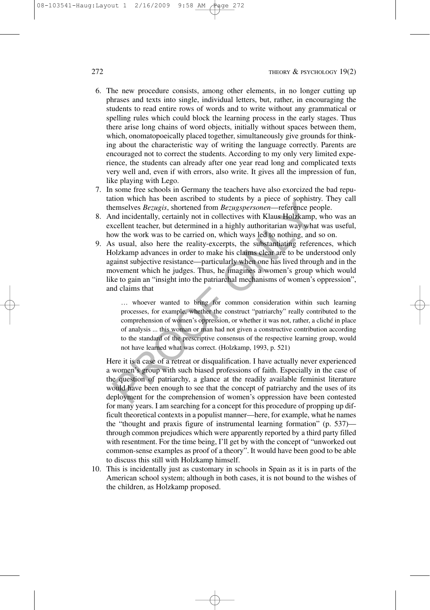6. The new procedure consists, among other elements, in no longer cutting up phrases and texts into single, individual letters, but, rather, in encouraging the students to read entire rows of words and to write without any grammatical or spelling rules which could block the learning process in the early stages. Thus there arise long chains of word objects, initially without spaces between them, which, onomatopoeically placed together, simultaneously give grounds for thinking about the characteristic way of writing the language correctly. Parents are encouraged not to correct the students. According to my only very limited experience, the students can already after one year read long and complicated texts very well and, even if with errors, also write. It gives all the impression of fun, like playing with Lego.

- 7. In some free schools in Germany the teachers have also exorcized the bad reputation which has been ascribed to students by a piece of sophistry. They call themselves *Bezugis*, shortened from *Bezugspersonen*—reference people.
- 8. And incidentally, certainly not in collectives with Klaus Holzkamp, who was an excellent teacher, but determined in a highly authoritarian way what was useful, how the work was to be carried on, which ways led to nothing, and so on.
- non mean case of a mean case of a mean case of a mean content of the polyment of the polyment of the complement teacher, but determined in a highly authoritarian way what we went was to be carried on, which was been allowe 9. As usual, also here the reality-excerpts, the substantiating references, which Holzkamp advances in order to make his claims clear are to be understood only against subjective resistance—particularly when one has lived through and in the movement which he judges. Thus, he imagines a women's group which would like to gain an "insight into the patriarchal mechanisms of women's oppression", and claims that

… whoever wanted to bring for common consideration within such learning processes, for example, whether the construct "patriarchy" really contributed to the comprehension of women's oppression, or whether it was not, rather, a cliché in place of analysis ... this woman or man had not given a constructive contribution according to the standard of the prescriptive consensus of the respective learning group, would not have learned what was correct. (Holzkamp, 1993, p. 521)

Here it is a case of a retreat or disqualification. I have actually never experienced a women's group with such biased professions of faith. Especially in the case of the question of patriarchy, a glance at the readily available feminist literature would have been enough to see that the concept of patriarchy and the uses of its deployment for the comprehension of women's oppression have been contested for many years. I am searching for a concept for this procedure of propping up difficult theoretical contexts in a populist manner—here, for example, what he names the "thought and praxis figure of instrumental learning formation" (p. 537) through common prejudices which were apparently reported by a third party filled with resentment. For the time being, I'll get by with the concept of "unworked out common-sense examples as proof of a theory". It would have been good to be able to discuss this still with Holzkamp himself.

10. This is incidentally just as customary in schools in Spain as it is in parts of the American school system; although in both cases, it is not bound to the wishes of the children, as Holzkamp proposed.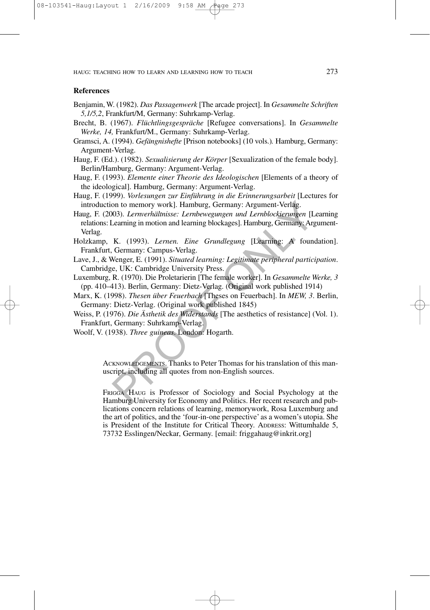### **References**

- Benjamin, W. (1982). *Das Passagenwerk* [The arcade project]. In *Gesammelte Schriften 5,1/5,2*, Frankfurt/M, Germany: Suhrkamp-Verlag.
- Brecht, B. (1967). *Flüchtlingsgespräche* [Refugee conversations]. In *Gesammelte Werke, 14,* Frankfurt/M., Germany: Suhrkamp-Verlag.
- Gramsci, A. (1994). *Gefängnishefte* [Prison notebooks] (10 vols.)*.* Hamburg, Germany: Argument-Verlag.
- Haug, F. (Ed.). (1982). *Sexualisierung der Körper* [Sexualization of the female body]. Berlin/Hamburg, Germany: Argument-Verlag.
- Haug, F. (1993). *Elemente einer Theorie des Ideologischen* [Elements of a theory of the ideological]. Hamburg, Germany: Argument-Verlag.
- Haug, F. (1999). *Vorlesungen zur Einführung in die Erinnerungsarbeit* [Lectures for introduction to memory work]. Hamburg, Germany: Argument-Verlag.
- on to memory work]. Hamburg, Germany: Argument-Verlag.<br>
003). *Lernverhältnisse: Lernbewegungen und Lernblockierungen* [Lea<br>
Learning in motion and learning blockages]. Hamburg, Germany: Argur<br>
K. (1993). *Lernen. Eine Gru* Haug, F. (2003). *Lernverhältnisse: Lernbewegungen und Lernblockierungen* [Learning relations: Learning in motion and learning blockages]. Hamburg, Germany: Argument-Verlag.
- Holzkamp, K. (1993). *Lernen. Eine Grundlegung* [Learning: A foundation]. Frankfurt, Germany: Campus-Verlag.
- Lave, J., & Wenger, E. (1991). *Situated learning: Legitimate peripheral participation*. Cambridge, UK: Cambridge University Press.
- Luxemburg, R. (1970). Die Proletarierin [The female worker]. In *Gesammelte Werke, 3* (pp. 410–413). Berlin, Germany: Dietz-Verlag. (Original work published 1914)
- Marx, K. (1998). *Thesen über Feuerbach* [Theses on Feuerbach]. In *MEW, 3*. Berlin, Germany: Dietz-Verlag. (Original work published 1845)
- Weiss, P. (1976). *Die Ästhetik des Widerstands* [The aesthetics of resistance] (Vol. 1). Frankfurt, Germany: Suhrkamp-Verlag.
- Woolf, V. (1938). *Three guineas*. London: Hogarth.

ACKNOWLEDGEMENTS. Thanks to Peter Thomas for his translation of this manuscript, including all quotes from non-English sources.

FRIGGA HAUG is Professor of Sociology and Social Psychology at the Hamburg University for Economy and Politics. Her recent research and publications concern relations of learning, memorywork, Rosa Luxemburg and the art of politics, and the 'four-in-one perspective' as a women's utopia. She is President of the Institute for Critical Theory. ADDRESS: Wittumhalde 5, 73732 Esslingen/Neckar, Germany. [email: friggahaug@inkrit.org]